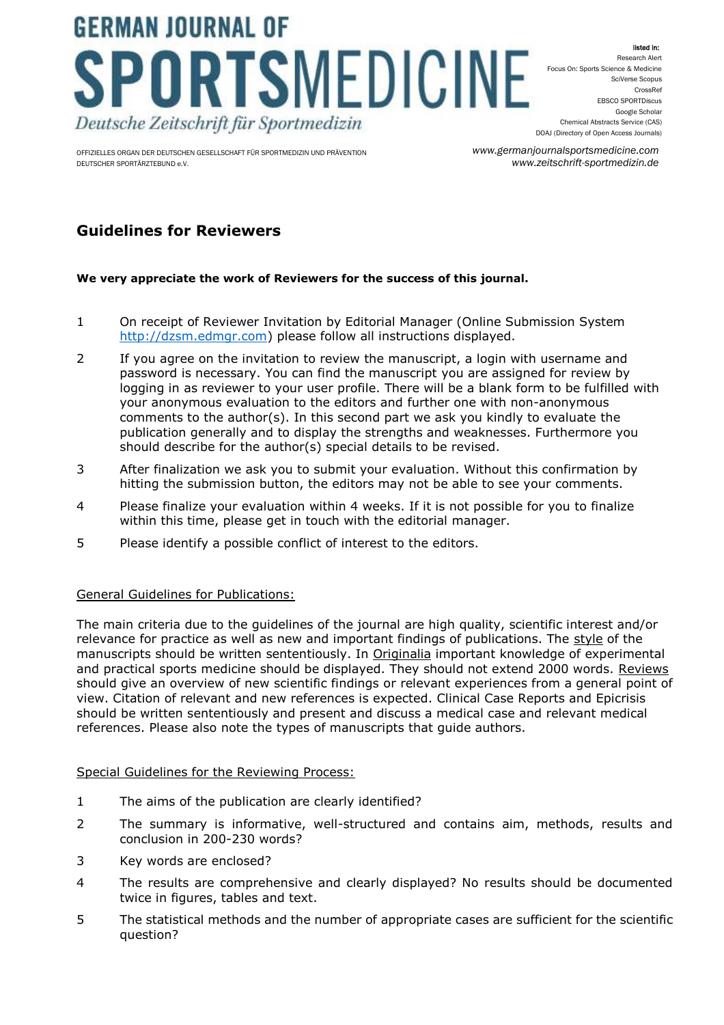# **GERMAN JOURNAL OF** PORTSMEDICINE Deutsche Zeitschrift für Sportmedizin

OFFIZIELLES ORGAN DER DEUTSCHEN GESELLSCHAFT FÜR SPORTMEDIZIN UND PRÄVENTION DEUTSCHER SPORTÄRZTEBUND e.V.

listed in: Research Alert Focus On: Sports Science & Medicine SciVerse Scopus CrossRef EBSCO SPORTDiscus Google Scholar Chemical Abstracts Service (CAS) DOAJ (Directory of Open Access Journals)

*www.germanjournalsportsmedicine.com www.zeitschrift-sportmedizin.de*

## **Guidelines for Reviewers**

### **We very appreciate the work of Reviewers for the success of this journal.**

- 1 On receipt of Reviewer Invitation by Editorial Manager (Online Submission System [http://dzsm.edmgr.com\)](http://dzsm.edmgr.com/) please follow all instructions displayed.
- 2 If you agree on the invitation to review the manuscript, a login with username and password is necessary. You can find the manuscript you are assigned for review by logging in as reviewer to your user profile. There will be a blank form to be fulfilled with your anonymous evaluation to the editors and further one with non-anonymous comments to the author(s). In this second part we ask you kindly to evaluate the publication generally and to display the strengths and weaknesses. Furthermore you should describe for the author(s) special details to be revised.
- 3 After finalization we ask you to submit your evaluation. Without this confirmation by hitting the submission button, the editors may not be able to see your comments.
- 4 Please finalize your evaluation within 4 weeks. If it is not possible for you to finalize within this time, please get in touch with the editorial manager.
- 5 Please identify a possible conflict of interest to the editors.

### General Guidelines for Publications:

The main criteria due to the guidelines of the journal are high quality, scientific interest and/or relevance for practice as well as new and important findings of publications. The style of the manuscripts should be written sententiously. In Originalia important knowledge of experimental and practical sports medicine should be displayed. They should not extend 2000 words. Reviews should give an overview of new scientific findings or relevant experiences from a general point of view. Citation of relevant and new references is expected. Clinical Case Reports and Epicrisis should be written sententiously and present and discuss a medical case and relevant medical references. Please also note the types of manuscripts that guide authors.

### Special Guidelines for the Reviewing Process:

- 1 The aims of the publication are clearly identified?
- 2 The summary is informative, well-structured and contains aim, methods, results and conclusion in 200-230 words?
- 3 Key words are enclosed?
- 4 The results are comprehensive and clearly displayed? No results should be documented twice in figures, tables and text.
- 5 The statistical methods and the number of appropriate cases are sufficient for the scientific question?